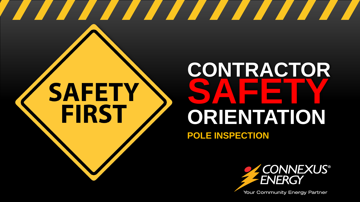# **SAFETY FIRST**

### **CONTRACTOR SAFETY ORIENTATION POLE INSPECTION**

<u> The Communication of the Communication of the Communication of the Communication of the Communication of the Communication of the Communication of the Communication of the Communication of the Communication of the Commun</u>



Your Community Energy Partner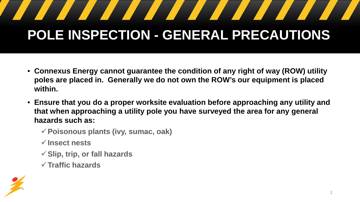# **POLE INSPECTION - GENERAL PRECAUTIONS**

- **Connexus Energy cannot guarantee the condition of any right of way (ROW) utility poles are placed in. Generally we do not own the ROW's our equipment is placed within.**
- **Ensure that you do a proper worksite evaluation before approaching any utility and that when approaching a utility pole you have surveyed the area for any general hazards such as:**
	- **Poisonous plants (ivy, sumac, oak)**
	- **Insect nests**
	- **Slip, trip, or fall hazards**
	- **Traffic hazards**

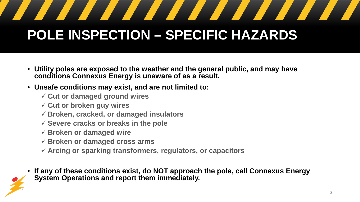#### <u> Santa Barat de Santa Barat de Santa Barat de Santa Barat de Santa Barat de Santa Barat de Santa Barat de San</u> <u>a shekara ta 1999 a shekara ta 1999 a shekara ta 1999 a shekara ta 1999 a shekara ta 1999 a shekara ta 1999 a </u>

#### **POLE INSPECTION – SPECIFIC HAZARDS**

- **Utility poles are exposed to the weather and the general public, and may have conditions Connexus Energy is unaware of as a result.**
- **Unsafe conditions may exist, and are not limited to:**
	- **Cut or damaged ground wires**
	- **Cut or broken guy wires**
	- **Broken, cracked, or damaged insulators**
	- **Severe cracks or breaks in the pole**
	- **Broken or damaged wire**
	- **Broken or damaged cross arms**
	- **Arcing or sparking transformers, regulators, or capacitors**
- **If any of these conditions exist, do NOT approach the pole, call Connexus Energy System Operations and report them immediately.**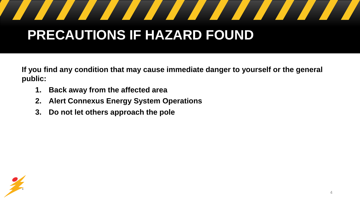#### <u> The Communication of the Communication of the Communication of the Communication of the Communication of the Communication of the Communication of the Communication of the Communication of the Communication of the Commun</u>

#### **PRECAUTIONS IF HAZARD FOUND**

**If you find any condition that may cause immediate danger to yourself or the general public:**

- **1. Back away from the affected area**
- **2. Alert Connexus Energy System Operations**
- **3. Do not let others approach the pole**

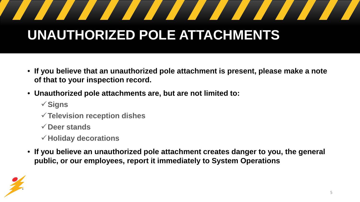# **UNAUTHORIZED POLE ATTACHMENTS**

- **If you believe that an unauthorized pole attachment is present, please make a note of that to your inspection record.**
- **Unauthorized pole attachments are, but are not limited to:**
	- **Signs**
	- **Television reception dishes**
	- **Deer stands**
	- **Holiday decorations**
- **If you believe an unauthorized pole attachment creates danger to you, the general public, or our employees, report it immediately to System Operations**